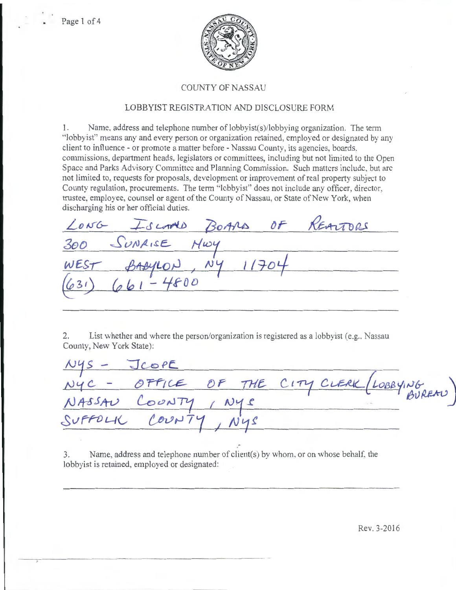

### **COUNTY OF NASSAU**

## LOBBYIST REGISTRATION AND DISCLOSURE FORM

Name, address and telephone number of lobbyist(s)/lobbying organization. The term 1. "lobbyist" means any and every person or organization retained, employed or designated by any client to influence - or promote a matter before - Nassau County, its agencies, boards. commissions, department heads, legislators or committees, including but not limited to the Open Space and Parks Advisory Committee and Planning Commission. Such matters include, but are not limited to, requests for proposals, development or improvement of real property subject to County regulation, procurements. The term "lobbyist" does not include any officer, director, trustee, employee, counsel or agent of the County of Nassau, or State of New York, when discharging his or her official duties.

LONG IsLAND BOARD OF REALTORS 300 SUNAISE HWY<br>WEST BABYLON, NY 11701

 $2.$ List whether and where the person/organization is registered as a lobbyist (e.g., Nassau County, New York State):

| $NYS - JcoPE$ |                                          |  |  |  |
|---------------|------------------------------------------|--|--|--|
|               | NYC - OPFICE OF THE CITY CLERK (LOBBYING |  |  |  |
|               | NASSAU COONTY, NYS                       |  |  |  |
|               | SUFFOLK COUNTY, NYS                      |  |  |  |

Name, address and telephone number of client(s) by whom, or on whose behalf, the 3. lobby ist is retained, employed or designated:

Rev. 3-2016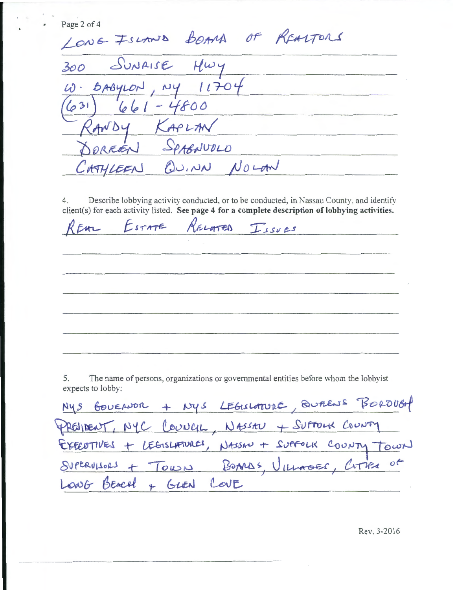Page 2 of 4 LONG FSLAND BOAM OF REALTORS W. BABYLON, NY 11704  $661 - 4800$  $631$ ANDY KAPLAN SPAGNUOLO EEN CHTHLEEN QUINN NOLOW

4. Describe lobbying activity conducted, or to be conducted, in Nassau County, and identify client(s) for each activity listed. See page 4 for a complete description of lobbying activities.

REAL ESTATE RELATED ISSUES

5. The name of persons, organizations or governmental entities before whom the lobbyist expects to lobby:

 $Nys$  bouernon +  $Nys$  LEGISLATURE, SUEENS BORDUGH  $P$ REGINENT, NYC COUNCIL, NASSAU + SUFTOLK COUNTY EXECOTIVES + LEGISLATURES, NASSAU + SUPFOLK COUNTY TOWN SUPERVILORS + TOWN BOARDS, VILLABES, CITIES OF LowG BEACH + GLEN COVE

Rev. 3-2016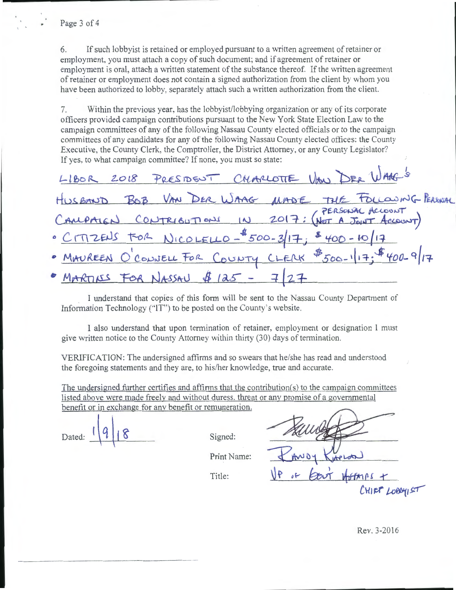If such lobby is to retained or employed pursuant to a written agreement of retainer or 6. employment, you must attach a copy of such document; and if agreement of retainer or employment is oral, attach a written statement of the substance thereof. If the written agreement of retainer or employment does not contain a signed authorization from the client by whom you have been authorized to lobby, separately attach such a written authorization from the client.

Within the previous year, has the lobby ist/lobbying organization or any of its corporate 7. officers provided campaign contributions pursuant to the New York State Election Law to the campaign committees of any of the following Nassau County elected officials or to the campaign committees of any candidates for any of the following Nassau County elected offices: the County Executive, the County Clerk, the Comptroller, the District Attorney, or any County Legislator? If yes, to what campaign committee? If none, you must so state:

| LIBOR 2018 PRESIDENT CHARLOTTE UM DER WANGS              |
|----------------------------------------------------------|
| HUSBAND BOB UM DER WAAG MADE THE FOLLOWING PEANING       |
| CAMPAIGN CONTRIBUTIONS IN 2017: (NOT A JOUT ACCOUNT)     |
| <u>CITIZENS FOR NICOLELLO - \$500-3/17; \$400-10/17</u>  |
| MAUREEN O'CONJELL FOR COUNTY CLERK \$500-117; \$400-9/17 |
| MARTINS FOR NASSAU \$ 125 - 7 27                         |

I understand that copies of this form will be sent to the Nassau County Department of Information Technology ("IT") to be posted on the County's website.

I also understand that upon termination of retainer, employment or designation I must give written notice to the County Attorney within thirty (30) days of termination.

VERIFICATION: The undersigned affirms and so swears that he/she has read and understood the foregoing statements and they are, to his/her knowledge, true and accurate.

The undersigned further certifies and affirms that the contribution(s) to the campaign committees listed above were made freely and without duress, threat or any promise of a governmental benefit or in exchange for any benefit or remuneration.

Dated:

Signed:

 $H_{\text{effRPS}}$ 

Print Name:

Title:

CHIFF LOBOYIST

Rev. 3-2016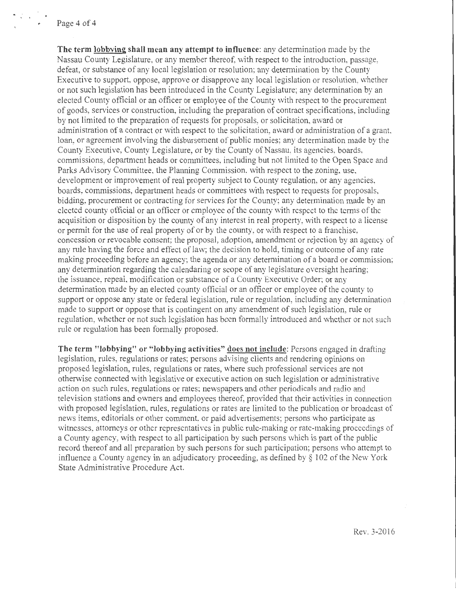### Page 4 of 4

**The term lobbying shall mean any attempt to influence:** any determination made by the Nassau County Legislature, or any member thereof with respect to the introduction, passage, defeat, or substance of any local legislation or resolution; any determination by the County Executive to support, oppose, approve or disapprove any local legislation or resolution, whether or not such legislation has been introduced in the County Legislature; any determination by an elected County official or an officer or employee of the County with respect to the procurement of goods, services or constmction, including the preparation of contract specifications, including by not limited to the preparation of requests for proposals, or solicitation, award or administration of a contract or with respect to the solicitation, award or administration of a grant. loan, or agreement involving the disbursement of public monies; any determination made by the County Executive, County Legislature, or by the County of Nassau, its agencies, boards, commissions, department heads or committees, including but not limited to the Open Space and Parks Advisory Committee. the Planning Commission, with respect to the zoning, use, development or improvement of real property subject to County regulation, or any agencies, boards, commissions, department heads or committees with respect to requests for proposals, bidding, procurement or contracting for services for the County; any determination made by an elected county official or an officer or employee of the county with respect to the terms of the acquisition or disposition by the county of any interest in real property, with respect to a license or permit for the use of real property of or by the county, or with respect to a franchise, concession or revocable consent; the proposal, adoption, amendment or rejection by an agency of any rule having the force and effect of law; the decision to hold, timing or outcome of any rate making proceeding before an agency; the agenda or any determination of a board or commission; any determination regarding the calendaring or scope of any legislature oversight hearing; the issuance, repeal, modification or substance of a County Executive Order; or any determination made by an elected county official or an officer or employee of the county to support or oppose any state or federal legislation, rule or regulation, including any determination made to support or oppose that is contingent on any amendment of such legislation, rule or regulation, whether or not such legislation has been formally introduced and whether or not such rule or regulation has been formally proposed.

**The term "lobbying" or "lobbying activities" docs not include:** Persons engaged in drafting legislation, rules, regulations or rates; persons advising clients and rendering opinions on proposed legislation, rules, regulations or rates, where such professional services are not otherwise cmmected with legislative or executive action on such legislation or administrative action on such rules, regulations or rates: newspapers and other periodicals and radio and television stations and owners and employees thereof, provided that their activities in connection with proposed legislation, mles, regulations or rates are limited to the publication or broadcast of news items, editorials or other comment, or paid advertisements; persons who participate as witnesses, attorneys or other representatives in public rule-making or rate-making proceedings of a County agency, with respect to all participation by such persons which is part of the public record thereof and all preparation by such persons for such participation; persons who attempt to influence a County agency in an adjudicatory proceeding, as defined by § I 02 of the New York State Administrative Procedure Act.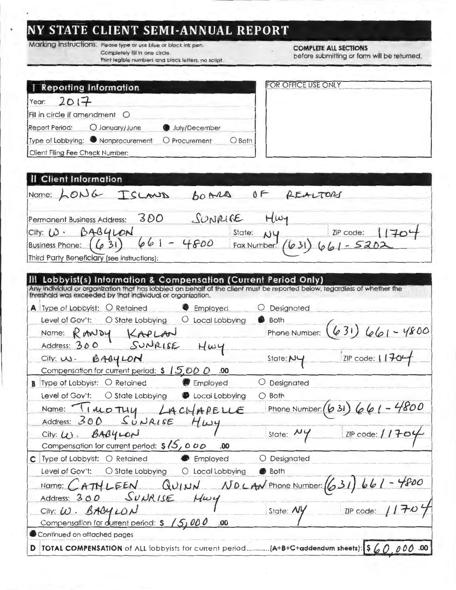# NY STATE CLIENT SEMI-ANNUAL REPORT

Marking Instructions: Please type or use blue or black ink pen. Completely fill in one circle.

Print legible numbers and block letters, no script.

**COMPLETE ALL SECTIONS** before submitting or form will be returned.

|                                 | <b>Reporting Information</b>     |               |                 |  |
|---------------------------------|----------------------------------|---------------|-----------------|--|
| 2017<br>Year:                   |                                  |               |                 |  |
| Fill in circle if amendment O   |                                  |               |                 |  |
| Report Period:                  | O January/June                   | July/December |                 |  |
|                                 | Type of Lobbying: Nonprocurement | O Procurement | $\bigcirc$ Both |  |
| Client Filing Fee Check Number: |                                  |               |                 |  |

| Name: LONG ISLAUD                                                                 |  | BOARD OF REALTORS |  |
|-----------------------------------------------------------------------------------|--|-------------------|--|
| Permanent Business Address: 300                                                   |  | SUNRICE Hwy       |  |
|                                                                                   |  |                   |  |
| City: W. BABYLON<br>Business Phone: (631) 661 - 4800 Fax Number! (631) 661 - 5202 |  |                   |  |
| Third Party Beneficiary (see instructions):                                       |  |                   |  |

|   | III Lobbyist(s) Information & Compensation (Current Period Only)       |                    |                                                                                                                                                                                      |
|---|------------------------------------------------------------------------|--------------------|--------------------------------------------------------------------------------------------------------------------------------------------------------------------------------------|
|   |                                                                        |                    | Any individual or organization that has lobbied on behalf of the client must be reported below, regardless of whether the threshold was exceeded by that individual or organization. |
|   | <b>A</b> Type of Lobbyist: $\bigcirc$ Retained $\bigcirc$ Employed     |                    | Designated<br>$\circ$                                                                                                                                                                |
|   | Level of Gov't: O State Lobbying O Local Lobbying                      |                    | <b>Both</b>                                                                                                                                                                          |
|   | Name: RANDY KAPLAN                                                     |                    | $(631)$ $(661 - 4800)$<br>Phone Number:                                                                                                                                              |
|   | SUNRISE HWY<br>Address: 300                                            |                    |                                                                                                                                                                                      |
|   | City: W. 6484LON                                                       |                    | ZIP code: 1704<br>State: NY                                                                                                                                                          |
|   | Compensation for current period: $\frac{1}{5}$ (5,00 0)                | .00                |                                                                                                                                                                                      |
|   | <b>B</b> Type of Lobbyist: O Retained                                  | Employed           | O Designated                                                                                                                                                                         |
|   |                                                                        |                    | $\bigcirc$ Both                                                                                                                                                                      |
|   | Name: 11 410 TUY LACHAPELLE                                            |                    | $661 - 4800$<br>Phone Number: $(b31)$                                                                                                                                                |
|   | Address: 300 SUNRISE HWY                                               |                    |                                                                                                                                                                                      |
|   | $City: U$ . $BABYLON$                                                  |                    | State: $\frac{Ny}{N}$   ZIP code: $/$ / 70                                                                                                                                           |
|   | Compensation for current period: $\frac{1}{5}$ / $\frac{5}{7}$ , 0 0 0 | .00                |                                                                                                                                                                                      |
|   | $C$ Type of Lobbyist: $\bigcirc$ Retained                              | $\bullet$ Employed | O Designated                                                                                                                                                                         |
|   |                                                                        |                    | <b>Both</b>                                                                                                                                                                          |
|   | Name: $CHTHLEFN$ $QUINN$ $NOLAN$ Phone Number: $(631)$                 |                    | $661 - 4800$                                                                                                                                                                         |
|   | Address: 300 SUNRISE Hwy                                               |                    |                                                                                                                                                                                      |
|   | $City: W.$ BABY LON                                                    |                    | $ZIPcode: /   H \rightarrow C$<br>State: $\mathcal{N}$                                                                                                                               |
|   | Compensation for durrent period: \$ /5,000                             | .00                |                                                                                                                                                                                      |
|   | Continued on attached pages                                            |                    |                                                                                                                                                                                      |
| D |                                                                        |                    | TOTAL COMPENSATION of ALL lobbyists for current period (A+B+C+addendum sheets): S 60,000                                                                                             |
|   |                                                                        |                    |                                                                                                                                                                                      |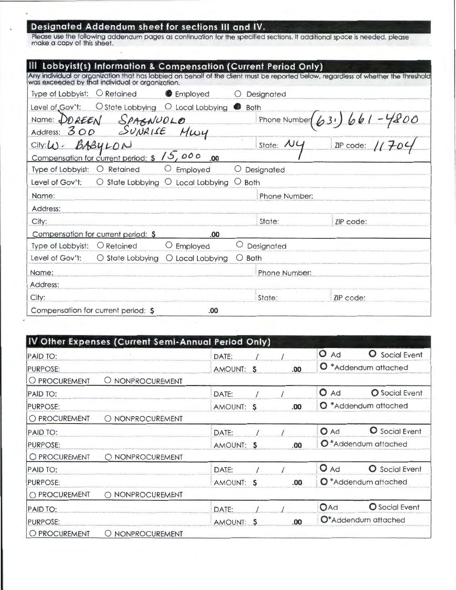# Designated Addendum sheet for sections III and IV.

Please use the following addendum pages as continuation for the specified sections. If additional space is needed, please<br>make a copy of this sheet.

|                                                  |                        | Lobbyist(s) Information & Compensation (Current Period Only)                                                                        |                           |                        |               |              |
|--------------------------------------------------|------------------------|-------------------------------------------------------------------------------------------------------------------------------------|---------------------------|------------------------|---------------|--------------|
| was exceeded by that individual or organization. |                        | Any individual or organization that has lobbied on behalf of the client must be reported below, regardless of whether the threshold |                           |                        |               |              |
| Type of Lobbyist: $\bigcirc$ Retained            |                        | <b>Employed</b>                                                                                                                     | $\bigcirc$                | Designated             |               |              |
|                                                  |                        | Level of Gov't:  O state Lobbying  O Local Lobbying  O Both                                                                         |                           |                        |               |              |
| Name: DOREEN SPAENUOLO                           |                        |                                                                                                                                     |                           | Phone Number           |               | $661 - 4800$ |
| Address: 300 SUNAISE MWY                         |                        |                                                                                                                                     |                           |                        |               |              |
| $City:W - BAGYLON$                               |                        |                                                                                                                                     |                           | State: $\mathcal{N}$ 4 | ZIP code: / / |              |
| Compensation for current period: \$              |                        | 15,000<br>.00                                                                                                                       |                           |                        |               |              |
| Type of Lobbyist:                                | O Retained             | Employed                                                                                                                            | $\circlearrowright$       | Designated             |               |              |
| Level of Gov't:                                  | $\circ$ State Lobbying | $\circ$ Local Lobbying                                                                                                              | $\circ$ Both              |                        |               |              |
| Name:                                            |                        |                                                                                                                                     |                           | Phone Number:          |               |              |
| Address:                                         |                        |                                                                                                                                     |                           |                        |               |              |
| City:                                            |                        |                                                                                                                                     |                           | State:                 | ZIP code:     |              |
| Compensation for current period: \$              |                        | .00                                                                                                                                 |                           |                        |               |              |
| Type of Lobbyist:                                | O Retained             | O Employed                                                                                                                          |                           | Designated             |               |              |
| Level of Gov't:                                  | $\circ$ State Lobbying | O Local Lobbying                                                                                                                    | <b>Both</b><br>$\bigcirc$ |                        |               |              |
| Name:                                            |                        |                                                                                                                                     |                           | Phone Number:          |               |              |
| Address:                                         |                        |                                                                                                                                     |                           |                        |               |              |
| City:                                            |                        |                                                                                                                                     |                           | State:                 | ZIP code:     |              |
| Compensation for current period: \$              |                        | .00                                                                                                                                 |                           |                        |               |              |

|                 | IV Other Expenses (Current Semi-Annual Period Only) |            |      |        |                                  |
|-----------------|-----------------------------------------------------|------------|------|--------|----------------------------------|
| PAID TO:        |                                                     | DATE:      |      | $O$ Ad | <b>O</b> Social Event            |
| <b>PURPOSE:</b> |                                                     | AMOUNT: \$ | .00. |        | <b>O</b> *Addendum attached      |
| O PROCUREMENT   | NONPROCUREMENT                                      |            |      |        |                                  |
| <b>PAID TO:</b> |                                                     | DATE:      |      | $O$ Ad | <b>O</b> Social Event            |
| <b>PURPOSE:</b> |                                                     | AMOUNT: \$ | .00. |        | <b>O</b> *Addendum attached      |
| O PROCUREMENT   | O NONPROCUREMENT                                    |            |      |        |                                  |
| PAID TO:        |                                                     | DATE:      |      | O Ad   | <b>O</b> Social Event            |
| <b>PURPOSE:</b> |                                                     | AMOUNT: \$ | .00. |        | O <sup>*</sup> Addendum attached |
| O PROCUREMENT   | O NONPROCUREMENT                                    |            |      |        |                                  |
| <b>PAID TO:</b> |                                                     | DATE:      |      | O Ad   | <b>O</b> Social Event            |
| <b>PURPOSE:</b> |                                                     | AMOUNT: \$ | .00  |        | O <sup>*</sup> Addendum attached |
| O PROCUREMENT   | O NONPROCUREMENT                                    |            |      |        |                                  |
| PAID TO:        |                                                     | DATE:      |      | OAd    | <b>O</b> Social Event            |
| <b>PURPOSE:</b> |                                                     | AMOUNT: \$ | .00. |        | O*Addendum attached              |
| O PROCUREMENT   | NONPROCUREMENT                                      |            |      |        |                                  |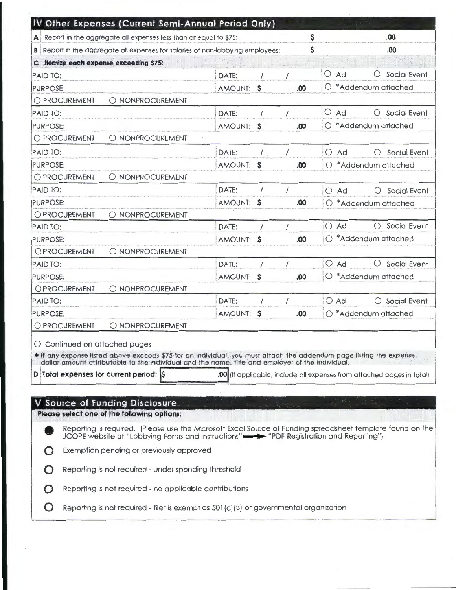|                 | IV Other Expenses (Current Semi-Annual Period Only)                                                                                                                                                                                                  |                   |            |               |                                                                                                                                                                                                                                                                                                    |
|-----------------|------------------------------------------------------------------------------------------------------------------------------------------------------------------------------------------------------------------------------------------------------|-------------------|------------|---------------|----------------------------------------------------------------------------------------------------------------------------------------------------------------------------------------------------------------------------------------------------------------------------------------------------|
|                 | A Report in the aggregate all expenses less than or equal to \$75:                                                                                                                                                                                   |                   |            | \$            | .00.                                                                                                                                                                                                                                                                                               |
|                 | <b>B</b> Report in the aggregate all expenses for salaries of non-lobbying employees:                                                                                                                                                                |                   |            | \$            | .00                                                                                                                                                                                                                                                                                                |
|                 | C Itemize each expense exceeding \$75:                                                                                                                                                                                                               |                   |            |               |                                                                                                                                                                                                                                                                                                    |
| PAID TO:        |                                                                                                                                                                                                                                                      | DATE:             |            | $O$ Ad        | <b>Social Event</b><br>$\bigcirc$                                                                                                                                                                                                                                                                  |
| <b>PURPOSE:</b> |                                                                                                                                                                                                                                                      | AMOUNT: \$        | .00        | O             | *Addendum attached                                                                                                                                                                                                                                                                                 |
| O PROCUREMENT   | O NONPROCUREMENT                                                                                                                                                                                                                                     |                   |            |               |                                                                                                                                                                                                                                                                                                    |
| PAID TO:        |                                                                                                                                                                                                                                                      | DATE:<br>I        | T          | $O$ Ad        | Social Event<br>O                                                                                                                                                                                                                                                                                  |
| PURPOSE:        |                                                                                                                                                                                                                                                      | AMOUNT: \$        | .00.       |               | O *Addendum attached                                                                                                                                                                                                                                                                               |
| O PROCUREMENT   | O NONPROCUREMENT                                                                                                                                                                                                                                     |                   |            |               |                                                                                                                                                                                                                                                                                                    |
| PAID TO:        |                                                                                                                                                                                                                                                      | DATE:<br>$\prime$ | $\sqrt{2}$ | $O$ Ad        | <b>Social Event</b><br>$\bigcirc$                                                                                                                                                                                                                                                                  |
| <b>PURPOSE:</b> |                                                                                                                                                                                                                                                      | AMOUNT: S         | .00.       |               | O *Addendum attached                                                                                                                                                                                                                                                                               |
| O PROCUREMENT   | O NONPROCUREMENT                                                                                                                                                                                                                                     |                   |            |               |                                                                                                                                                                                                                                                                                                    |
| PAID TO:        |                                                                                                                                                                                                                                                      | DATE:<br>$\prime$ | $\prime$   | $\circ$<br>Ad | <b>Social Event</b><br>$\bigcirc$                                                                                                                                                                                                                                                                  |
| <b>PURPOSE:</b> |                                                                                                                                                                                                                                                      | AMOUNT: \$        | .00        |               | O *Addendum attached                                                                                                                                                                                                                                                                               |
| O PROCUREMENT   | O NONPROCUREMENT                                                                                                                                                                                                                                     |                   |            |               |                                                                                                                                                                                                                                                                                                    |
| PAID TO:        |                                                                                                                                                                                                                                                      | DATE:<br>$\prime$ | $\prime$   | $O$ Ad        | Social Event<br>∩                                                                                                                                                                                                                                                                                  |
| <b>PURPOSE:</b> |                                                                                                                                                                                                                                                      | AMOUNT: \$        | .00        |               | ○ *Addendum attached                                                                                                                                                                                                                                                                               |
| OPROCUREMENT    | O NONPROCUREMENT                                                                                                                                                                                                                                     |                   |            |               |                                                                                                                                                                                                                                                                                                    |
| PAID TO:        |                                                                                                                                                                                                                                                      | DATE:             |            | $O$ Ad        | <b>Social Event</b>                                                                                                                                                                                                                                                                                |
| <b>PURPOSE:</b> |                                                                                                                                                                                                                                                      | AMOUNT: \$        | .00        |               | $\circ$ *Addendum attached                                                                                                                                                                                                                                                                         |
| OPROCUREMENT    | O NONPROCUREMENT                                                                                                                                                                                                                                     |                   |            |               |                                                                                                                                                                                                                                                                                                    |
| PAID TO:        |                                                                                                                                                                                                                                                      | DATE:<br>7        | $\prime$   | $O$ Ad        | ○ Social Event                                                                                                                                                                                                                                                                                     |
| <b>PURPOSE:</b> |                                                                                                                                                                                                                                                      | AMOUNT: \$        | .00        |               | O *Addendum attached                                                                                                                                                                                                                                                                               |
| O PROCUREMENT   | O NONPROCUREMENT                                                                                                                                                                                                                                     |                   |            |               |                                                                                                                                                                                                                                                                                                    |
|                 | O Continued on attached pages                                                                                                                                                                                                                        |                   |            |               |                                                                                                                                                                                                                                                                                                    |
|                 |                                                                                                                                                                                                                                                      |                   |            |               |                                                                                                                                                                                                                                                                                                    |
|                 | D Total expenses for current period: S<br><b>Source of Funding Disclosure</b>                                                                                                                                                                        |                   |            |               | * If any expense listed above exceeds \$75 for an individual, you must attach the addendum page listing the expense,<br>dollar amount attributable to the individual and the name, title and employer of the individual.<br>.00 (if applicable, include all expenses from attached pages in total) |
|                 | Please select one of the following options:<br>Reporting is required. (Please use the Microsoft Excel Source of Funding spreadsheet template found on the<br>JCOPE website at "Lobbying Forms and Instructions" -> "PDF Registration and Reporting") |                   |            |               |                                                                                                                                                                                                                                                                                                    |
|                 | Exemption pending or previously approved                                                                                                                                                                                                             |                   |            |               |                                                                                                                                                                                                                                                                                                    |
|                 |                                                                                                                                                                                                                                                      |                   |            |               |                                                                                                                                                                                                                                                                                                    |
|                 | Reporting is not required - under spending threshold                                                                                                                                                                                                 |                   |            |               |                                                                                                                                                                                                                                                                                                    |
|                 | Reporting is not required - no applicable contributions                                                                                                                                                                                              |                   |            |               |                                                                                                                                                                                                                                                                                                    |
|                 | Reporting is not required - filer is exempt as $501(c)(3)$ or governmental organization                                                                                                                                                              |                   |            |               |                                                                                                                                                                                                                                                                                                    |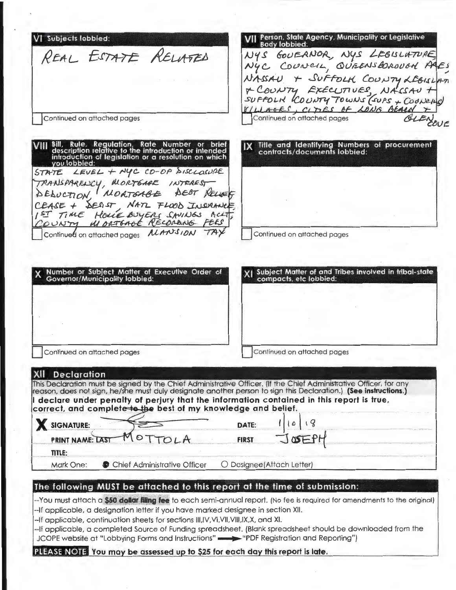Person, State Agency, Municipality or Legislative VI Subjects lobbied: VII **Body lobbied:** REAL ESTATE RELATED NYS GOVERNOR, NYS LEGISLATURE NYC COUNCIL, QUEENSBOROUGH ARES NASSAU + SUFFOLK COUNTY LEGISLAM + COUNTY EXECUTIVES, NACSAU + SUFFOLK KOUNTY TOWNS (SUPS + COUNCING) VILIAGES, CITIES OF LONG BEARDY + GLENDUE Continued on attached pages Continued on attached pages VIII Bill, Rule, Regulation, Rate Number or brief<br>description relative to the introduction or intended<br>introduction of legislation or a resolution on which<br>you lobbied: Title and Identifying Numbers of procurement<br>contracts/documents.lobbied: LEVEL + NYC CD-OP SISCLOSURE STATE TRANSPARENCY, MORTGABE INTEREST DELUCTION NORTGABE DEBT RELIXE CEASE + SESIST, NATL FLOOD INDRANCE IST TIME HOMEBUYERS SAVINGS ACCT COUNTY MORTGAGE RECORDING FEES Continued on attached pages MANSION TAX Continued on attached pages Number or Subject Matter of Executive Order of<br>Governor/Municipality lobbied: Subject Matter of and Tribes involved in tribal-state compacts, etc lobbied: Continued on attached pages Continued on attached pages **Declaration** XII This Declaration must be signed by the Chief Administrative Officer. (If the Chief Administrative Officer, for any reason, does not sign, he/she must duly designate another person to sign this Declaration.) (See instructions.) I declare under penalty of perjury that the information contained in this report is true, correct, and complete to the best of my knowledge and belief.  $10$ **X** SIGNATURE: DATE:  $O$ T **PRINT NAME: LAST** TOLA **FIRST** TITLE: Mark One: Chief Administrative Officer O Designee (Attach Letter) The following MUST be attached to this report at the time of submission: -You must attach a \$50 dollar filing fee to each semi-annual report. (No fee is required for amendments to the original) -If applicable, a designation letter if you have marked designee in section XII. -If applicable, continuation sheets for sections III,IV,VI,VII,VIII,IX,X, and XI. -If applicable, a completed Source of Funding spreadsheet. (Blank spreadsheet should be downloaded from the JCOPE website at "Lobbying Forms and Instructions" - "PDF Registration and Reporting")

**PLEASE NOTE** You may be assessed up to \$25 for each day this report is late.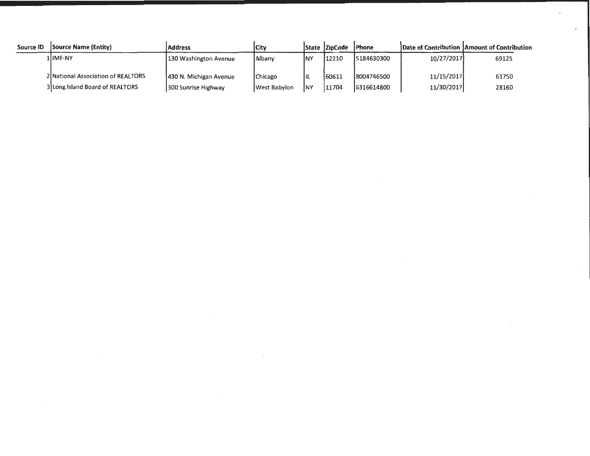| <b>Source ID</b> | <b>Source Name (Entity)</b>        | <b>Address</b>         | <b>City</b>         |      | State ZipCode | <b>IPhone</b> |            | Date of Contribution Amount of Contribution |
|------------------|------------------------------------|------------------------|---------------------|------|---------------|---------------|------------|---------------------------------------------|
|                  | 1 I IMF-NY                         | 130 Washington Avenue  | <b>Albany</b>       | INY  | 12210         | 5184630300    | 10/27/2017 | 69125                                       |
|                  | 2 National Association of REALTORS | 430 N. Michigan Avenue | Chicago             | TIL. | 60611         | 8004746500    | 11/15/2017 | 61750                                       |
|                  | 3 Long Island Board of REALTORS    | 300 Sunrise Highway    | <b>West Babylon</b> | INY  | 11704         | 6316614800    | 11/30/2017 | 28160                                       |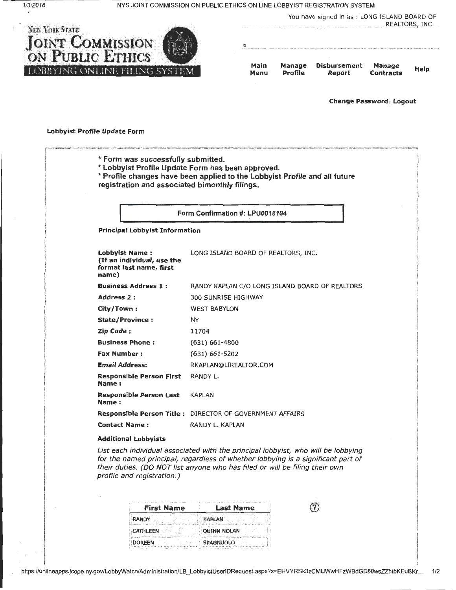|                            |              |                          | You have signed in as : LONG ISLAND BOARD OF<br>A MONTENANT RESISTENCIÓN DE MAIO CONTRACTORE DE MANIFERENTE DE RESISTENCIÓN DE MANIFERRAT DE LA MANIFERRAT DE LA MANIFERRAT DE LA MANIFERRAT DE LA MANIFERRAT DE LA MANIFERRAT DE LA MANIFERRAT DE LA MANIFERRAT DE LA MANIFER | a material ad ad ad hours of other | REALTORS, INC. |
|----------------------------|--------------|--------------------------|--------------------------------------------------------------------------------------------------------------------------------------------------------------------------------------------------------------------------------------------------------------------------------|------------------------------------|----------------|
|                            | Ľ            |                          | INVESTIGATION CONTINUES IN A CREATE CONTINUES IN ANALY PROVIDED DISPLAYMENT IN A CONTINUES INTO A CONTINUES AND A VEHICLE OF                                                                                                                                                   |                                    |                |
| LOBBYING ONLINE FILING SYS | Main<br>Menu | Manage<br><b>Profile</b> | <b>Disbursement</b><br>Report                                                                                                                                                                                                                                                  | Manage<br><b>Contracts</b>         | Help           |

#### Change Password | Logout

### Lobbyist Profile Update Form

| * Form was successfully submitted.<br>* Lobbyist Profile Update Form has been approved.<br>* Profile changes have been applied to the Lobbyist Profile and all future<br>registration and associated bimonthly filings. |                                                           |  |  |  |
|-------------------------------------------------------------------------------------------------------------------------------------------------------------------------------------------------------------------------|-----------------------------------------------------------|--|--|--|
| Form Confirmation #: LPU0016104                                                                                                                                                                                         |                                                           |  |  |  |
| <b>Principal Lobbyist Information</b>                                                                                                                                                                                   |                                                           |  |  |  |
| <b>Lobbyist Name:</b><br>(If an individual, use the<br>format last name, first<br>name)                                                                                                                                 | LONG ISLAND BOARD OF REALTORS, INC.                       |  |  |  |
| <b>Business Address 1:</b>                                                                                                                                                                                              | RANDY KAPLAN C/O LONG ISLAND BOARD OF REALTORS            |  |  |  |
| <b>Address 2:</b>                                                                                                                                                                                                       | <b>300 SUNRISE HIGHWAY</b>                                |  |  |  |
| City/Town:                                                                                                                                                                                                              | <b>WEST BABYLON</b>                                       |  |  |  |
| <b>State/Province:</b>                                                                                                                                                                                                  | <b>NY</b>                                                 |  |  |  |
| Zip Code:                                                                                                                                                                                                               | 11704                                                     |  |  |  |
| <b>Business Phone:</b>                                                                                                                                                                                                  | $(631) 661 - 4800$                                        |  |  |  |
| <b>Fax Number:</b>                                                                                                                                                                                                      | $(631) 661 - 5202$                                        |  |  |  |
| <b>Email Address:</b>                                                                                                                                                                                                   | RKAPLAN@LIREALTOR.COM                                     |  |  |  |
| <b>Responsible Person First</b><br>Name:                                                                                                                                                                                | RANDY L.                                                  |  |  |  |
| <b>Responsible Person Last</b><br>Name:                                                                                                                                                                                 | <b>KAPLAN</b>                                             |  |  |  |
|                                                                                                                                                                                                                         | Responsible Person Title : DIRECTOR OF GOVERNMENT AFFAIRS |  |  |  |
| <b>Contact Name:</b>                                                                                                                                                                                                    | <b>RANDY L. KAPLAN</b>                                    |  |  |  |

List each individual associated with the principal lobbyist, who will be lobbying for the named principal, regardless of whether lobbying is a significant part of their duties. (DO NOT list anyone who has filed or will be filing their own profile and registration.)

 $\left( \mathcal{D}\right)$ 

| <b>First Name</b> | Last Name          |
|-------------------|--------------------|
| RANDY             | KAPLAN             |
| <b>CATHLEEN</b>   | <b>OUINN NOLAN</b> |
| <b>DOREEN</b>     | <b>SPAGNUOLO</b>   |

https://onlineapps.jcope.ny.gov/LobbyWatch/Administration/LB\_LobbyistUseriDRequest.aspx?x=EHVYRSk3zCMUWwHFzWBdGD80wsZZhtbKEuBKr.. . 1/2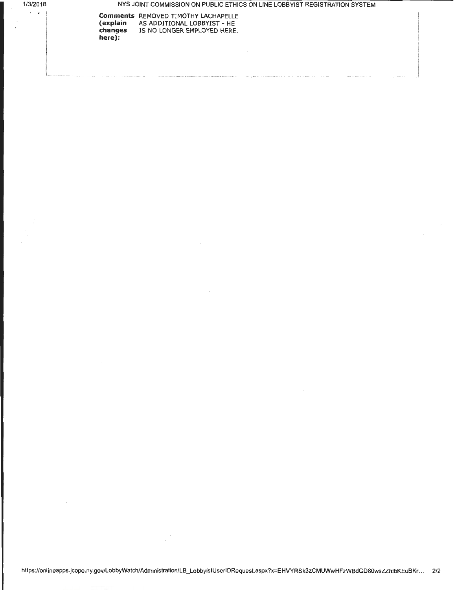| 1/3/2018 |  |
|----------|--|
|          |  |

NYS JOINT COMMISSION ON PUBLIC ETHICS ON LINE LOBBYIST REGISTRATION SYSTEM

-------·----- ••••··--·---·~~---.. -.-~n--·-··----------n·--•··-----.. ~~-·~-· -~ .. \_ ..... -.. -•. ---.. --·•-·-•·•-· • •-- .,.,.., ..... \_. .. \_.....-...-, ...... ' •·--- •R -~--• ..... -· • •--·-•- ·-·---

**Comments**  REMOVED TIMOTHY LACHAPELLE **(explain changes here):**  AS ADDITIONAL LOBBYIST- HE IS NO LONGER EMPLOYED HERE.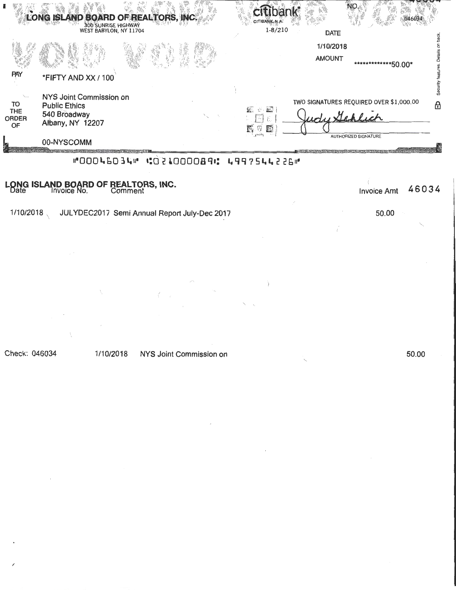|                                        | LONG ISLAND BOARD OF REALTORS, INC.<br>300 SUNRISE HIGHWAY<br>WEST BABYLON, NY 11704 |                       | tibank<br>CITIBANK, N.A<br>$1 - 8/210$                         | NO.                                                                  |          |
|----------------------------------------|--------------------------------------------------------------------------------------|-----------------------|----------------------------------------------------------------|----------------------------------------------------------------------|----------|
| <b>PAY</b>                             | *FIFTY AND XX / 100                                                                  |                       |                                                                | <b>DATE</b><br>1/10/2018<br><b>AMOUNT</b><br>************<br>*50.00* |          |
| TO<br><b>THE</b><br><b>ORDER</b><br>OF | NYS Joint Commission on<br><b>Public Ethics</b><br>540 Broadway<br>Albany, NY 12207  |                       | L.<br>$\Sigma$ .<br>  in<br>F.<br>B.<br>$\frac{\sqrt{11}}{12}$ | TWO SIGNATURES REQUIRED OVER \$1,000.00<br>Schlich                   | $\theta$ |
|                                        | 00-NYSCOMM<br><b>#00046034#</b>                                                      | <b>COR LOODOB 91:</b> | 4997544226#                                                    | <b>AUTHORIZED SIGNATURE</b>                                          |          |

LONG ISLAND BOARD OF REALTORS, INC.<br>Date linvoice No. Comment

46034 **Invoice Amt** 

50.00

 $\left($ 

1/10/2018 JULYDEC2017 Semi Annual Report July-Dec 2017

 $\frac{\left(\mathcal{R}^{\alpha}\right)_{\alpha}\left(\mathcal{R}\right)}{2\pi\Delta\mathcal{R}^{\alpha}}\,.$ 

 $-2\frac{1}{2}$ 

Check: 046034

1/10/2018 NYS Joint Commission on

50.00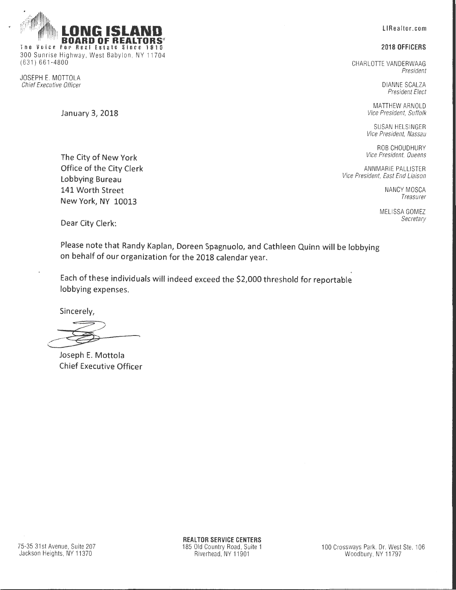**LIRealtor.com** 

### **2018 OFFICERS**

CHARLOTTE VANDERWAAG President

> DIANNE SCALZA President Elect

MATTHEW ARNOLD Vice President, Suffolk

SUSAN HELSINGER Vice President, Nassau

ROB CHOUDHURY Vice President, Queens

ANNMAR IE PALLISTER Vice President, East End Liaison

> NANCY MOSCA Treasurer

MELISSA GOMEZ **Secretary** 

**The Voice For Real Estate Since 1910**  300 Sunrise Highway, West Babylon, NY 11704 (63 1) 661-4800

**FORG ISLAND** 

JOSEPH E. MOTTOLA Chief Executive Officer

 $\ldots$  in  $\ell$  . If  $\ell$ 

**January 3, 2018** 

**The City of New York Office of the City Clerk lobbying Bureau 141 Worth Street New York, NY 10013** 

**Dear City Clerk:** 

**Please note that Randy Kaplan, Doreen Spagnuolo, and Cathleen Quinn will be lobbying on behalf of our organization for the 2018 calendar year.** 

**Each of these individuals will indeed exceed the \$2,000 threshold for reportable lobbying expenses.** 

**Sincerely,** 

**Joseph E. Mottola Chief Executive Officer** 

**REAL TOR SERVICE CENTERS**  185 Old Country Road, Suite 1 Riverhead, NY 11901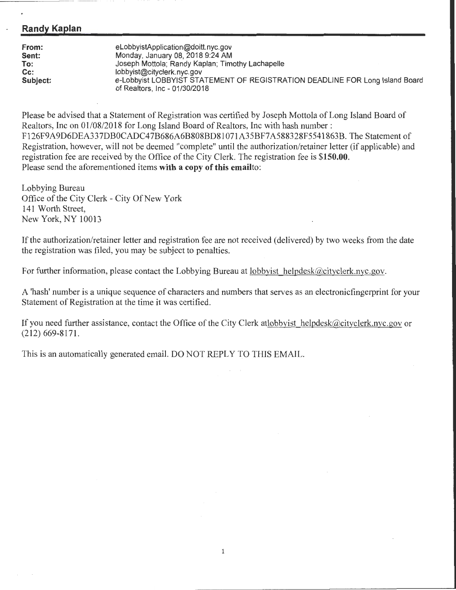# **Randy Kaplan**

| From:    | eLobbyistApplication@doitt.nyc.gov                                                                            |
|----------|---------------------------------------------------------------------------------------------------------------|
| Sent:    | Monday, January 08, 2018 9:24 AM                                                                              |
| To:      | Joseph Mottola; Randy Kaplan; Timothy Lachapelle                                                              |
| Cc:      | lobbyist@cityclerk.nyc.gov                                                                                    |
| Subject: | e-Lobbyist LOBBYIST STATEMENT OF REGISTRATION DEADLINE FOR Long Island Board<br>of Realtors, Inc - 01/30/2018 |

Please be advised that a Statement of Registration was certified by Joseph Mottola of Long Island Board of Realtors, Inc on 01/08/2018 for Long Island Board of Realtors, Inc with hash number: F126F9A9D6DEA337DBOCADC47B686A6B808BD81071A35BF7A588328F5541863B. The Statement of Registration, however, will not be deemed "complete" until the authorization/retainer letter (if applicable) and registration fee are received by the Office of the City Clerk. The registration fee is \$150.00. Please send the aforementioned items with a copy of this emailto:

Lobbying Bureau Office of the City Clerk - City Of New York 141 Worth Street, New York, NY 10013

------ - ----------------

If the authorization/retainer letter and registration fee are not received (delivered) by two weeks from the date the registration was filed, you may be subject to penalties.

For further information, please contact the Lobbying Bureau at lobbyist helpdesk@cityclerk.nyc.gov.

A 'hash' number is a unique sequence of characters and numbers that serves as an electronicfingerprint for your Statement of Registration at the time it was certified.

If you need further assistance, contact the Office of the City Clerk atlobbyist helpdesk@cityclerk.nyc.gov or (212) 669-8171.

This is an automatically generated email. DO NOT REPLY TO THIS EMAIL.